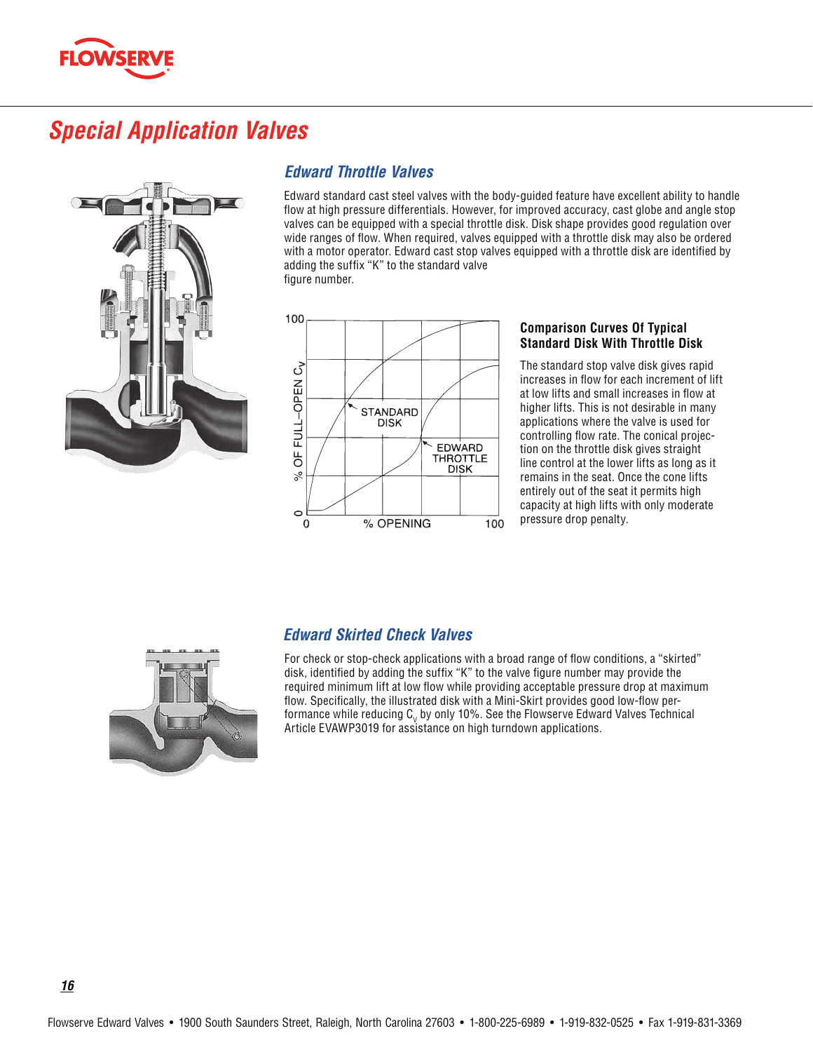

# **Special Application Valves**



### **Edward Throttle Valves**

Edward standard cast steel valves with the body-guided feature have excellent ability to handle flow at high pressure differentials. However, for improved accuracy, cast globe and angle stop valves can be equipped with a special throttle disk. Disk shape provides good regulation over wide ranges of flow. When required, valves equipped with a throttle disk may also be ordered with a motor operator. Edward cast stop valves equipped with a throttle disk are identified by adding the suffix "K" to the standard valve figure number.



#### **Comparison Curves Of Typical Standard Disk With Throttle Disk**

The standard stop valve disk gives rapid increases in flow for each increment of lift at low lifts and small increases in flow at higher lifts. This is not desirable in many applications where the valve is used for controlling flow rate. The conical projection on the throttle disk gives straight line control at the lower lifts as long as it remains in the seat. Once the cone lifts entirely out of the seat it permits high capacity at high lifts with only moderate pressure drop penalty.



### **Edward Skirted Check Valves**

For check or stop-check applications with a broad range of flow conditions, a "skirted" disk, identified by adding the suffix "K" to the valve figure number may provide the required minimum lift at low flow while providing acceptable pressure drop at maximum flow. Specifically, the illustrated disk with a Mini-Skirt provides good low-flow performance while reducing  $C_v$  by only 10%. See the Flowserve Edward Valves Technical Article EVAWP3019 for assistance on high turndown applications.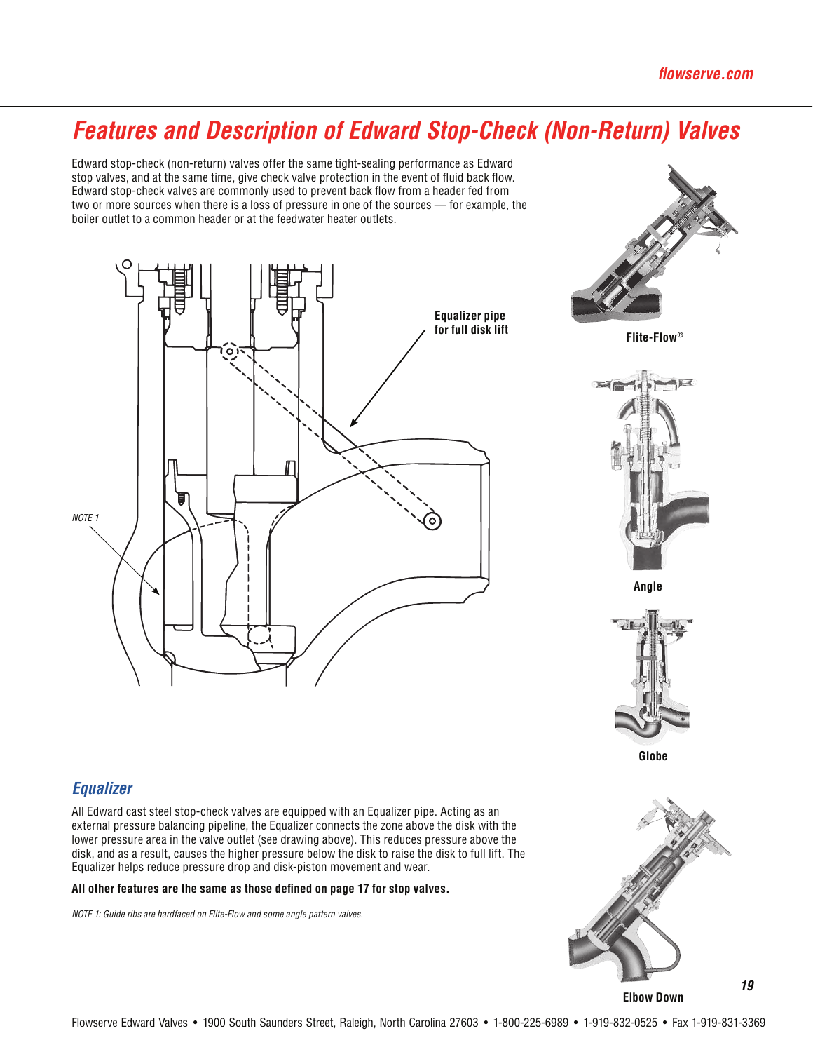# **Features and Description of Edward Stop-Check (Non-Return) Valves**

Edward stop-check (non-return) valves offer the same tight-sealing performance as Edward stop valves, and at the same time, give check valve protection in the event of fluid back flow. Edward stop-check valves are commonly used to prevent back flow from a header fed from two or more sources when there is a loss of pressure in one of the sources - for example, the boiler outlet to a common header or at the feedwater heater outlets.





Flite-Flow®



Angle



Globe

### **Equalizer**

All Edward cast steel stop-check valves are equipped with an Equalizer pipe. Acting as an external pressure balancing pipeline, the Equalizer connects the zone above the disk with the lower pressure area in the valve outlet (see drawing above). This reduces pressure above the disk, and as a result, causes the higher pressure below the disk to raise the disk to full lift. The Equalizer helps reduce pressure drop and disk-piston movement and wear.

#### All other features are the same as those defined on page 17 for stop valves.

NOTE 1: Guide ribs are hardfaced on Flite-Flow and some angle pattern valves.



**Elbow Down**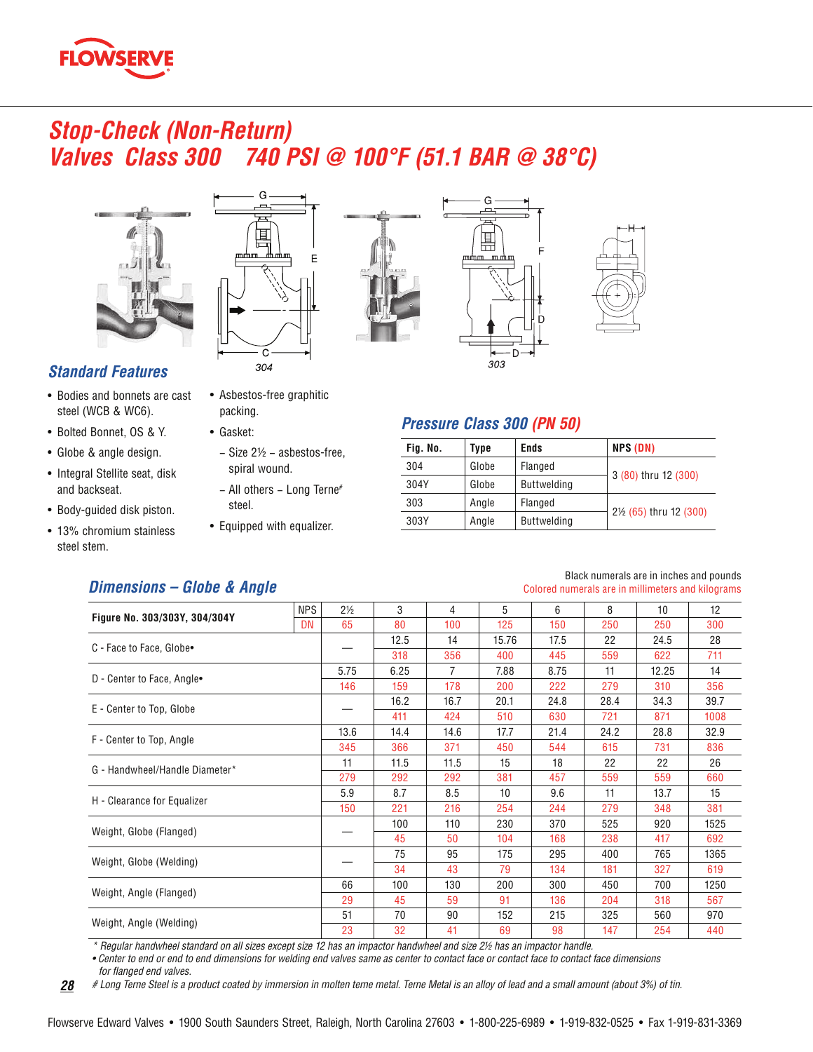

### **Stop-Check (Non-Return) Valves Class 300** 740 PSI @ 100°F (51.1 BAR @ 38°C)



### **Standard Features**

- Bodies and bonnets are cast steel (WCB & WC6).
- Bolted Bonnet, OS & Y.
- Globe & angle design.
- Integral Stellite seat, disk and backseat.
- Body-guided disk piston.
- 13% chromium stainless steel stem.



m

• Asbestos-free graphitic

spiral wound.

- Size 2½ - asbestos-free,

- All others - Long Terne<sup>#</sup>

• Equipped with equalizer.

packing.

steel.

• Gasket:





### **Pressure Class 300 (PN 50)**

| Fig. No. | Type  | <b>Ends</b>        | NPS (DN)                                         |
|----------|-------|--------------------|--------------------------------------------------|
| 304      | Globe | Flanged            |                                                  |
| 304Y     | Globe | <b>Buttwelding</b> | 3 (80) thru 12 (300)                             |
| 303      | Angle | Flanged            |                                                  |
| 303Y     | Angle | <b>Buttwelding</b> | 2 <sup>1</sup> / <sub>2</sub> (65) thru 12 (300) |

### **Dimensions - Globe & Angle**

#### Black numerals are in inches and pounds Colored numerals are in millimeters and kilograms

|                                | <b>NPS</b> | $2\frac{1}{2}$ | 3                                                                    | 4                                                                                                                                                          | 5     | 6                                                   | 8    | 10                                                                                      | 12   |
|--------------------------------|------------|----------------|----------------------------------------------------------------------|------------------------------------------------------------------------------------------------------------------------------------------------------------|-------|-----------------------------------------------------|------|-----------------------------------------------------------------------------------------|------|
| Figure No. 303/303Y, 304/304Y  | <b>DN</b>  | 65             | 80                                                                   | 100                                                                                                                                                        | 125   | 150                                                 | 250  | 250                                                                                     | 300  |
|                                |            |                | 12.5                                                                 | 14                                                                                                                                                         | 15.76 | 17.5                                                | 22   | 24.5                                                                                    | 28   |
| C - Face to Face, Globe.       |            |                | 318                                                                  | 356                                                                                                                                                        | 400   | 445                                                 | 559  | 622                                                                                     | 711  |
| D - Center to Face, Angle•     |            | 5.75           | 6.25                                                                 | $\overline{7}$                                                                                                                                             | 7.88  | 8.75                                                | 11   | 12.25                                                                                   | 14   |
|                                |            | 146            | 159                                                                  | 178                                                                                                                                                        | 200   | 222                                                 | 279  | 310                                                                                     | 356  |
| E - Center to Top, Globe       |            |                | 16.2                                                                 | 16.7                                                                                                                                                       | 20.1  | 24.8                                                | 28.4 | 34.3                                                                                    | 39.7 |
|                                |            |                | 411                                                                  | 424                                                                                                                                                        | 510   | 630                                                 | 721  | 871                                                                                     | 1008 |
| F - Center to Top, Angle       |            | 13.6           | 14.4                                                                 | 14.6                                                                                                                                                       | 17.7  | 21.4                                                | 24.2 | 28.8                                                                                    | 32.9 |
|                                |            | 345            | 366                                                                  | 371                                                                                                                                                        | 450   | 544                                                 | 615  | 731<br>22<br>559<br>13.7<br>348<br>920<br>417<br>765<br>327<br>700<br>318<br>560<br>254 | 836  |
| G - Handwheel/Handle Diameter* |            | 11             | 11.5                                                                 | 11.5<br>15<br>381<br>292<br>8.5<br>10<br>216<br>254<br>110<br>230<br>50<br>104<br>95<br>175<br>43<br>79<br>200<br>130<br>59<br>91<br>152<br>90<br>41<br>69 | 18    | 22                                                  |      | 26                                                                                      |      |
|                                |            | 279            | 292                                                                  |                                                                                                                                                            |       | 457                                                 | 559  |                                                                                         | 660  |
| H - Clearance for Equalizer    |            | 5.9            | 8.7                                                                  |                                                                                                                                                            |       | 9.6                                                 | 11   |                                                                                         | 15   |
|                                |            | 150            | 221                                                                  |                                                                                                                                                            |       | 244                                                 | 279  |                                                                                         | 381  |
| Weight, Globe (Flanged)        |            |                | 100                                                                  |                                                                                                                                                            |       | 370                                                 | 525  |                                                                                         | 1525 |
|                                |            |                | 45                                                                   |                                                                                                                                                            |       | 168                                                 | 238  |                                                                                         | 692  |
| Weight, Globe (Welding)        |            |                | 75                                                                   |                                                                                                                                                            |       | 295                                                 | 400  |                                                                                         | 1365 |
|                                |            |                | 34                                                                   |                                                                                                                                                            |       | 134                                                 | 181  |                                                                                         | 619  |
|                                |            | 66             | 100                                                                  |                                                                                                                                                            |       | 300<br>450<br>136<br>204<br>215<br>325<br>98<br>147 | 1250 |                                                                                         |      |
| Weight, Angle (Flanged)        |            | 29             | 45                                                                   |                                                                                                                                                            |       |                                                     |      |                                                                                         | 567  |
| Weight, Angle (Welding)        |            | 51             | 70<br>32<br>$\mathbf{r}$ $\mathbf{r}$ $\mathbf{r}$ $\mathbf{r}$<br>. | 970                                                                                                                                                        |       |                                                     |      |                                                                                         |      |
|                                |            | 23             |                                                                      |                                                                                                                                                            |       |                                                     |      |                                                                                         | 440  |

\* Regular handwheel standard on all sizes except size 12 has an impactor handwheel and size 2½ has an impactor handle.

. Center to end or end to end dimensions for welding end valves same as center to contact face or contact face to contact face dimensions

for flanged end valves.

# Long Terne Steel is a product coated by immersion in molten terne metal. Terne Metal is an alloy of lead and a small amount (about 3%) of tin.  $28$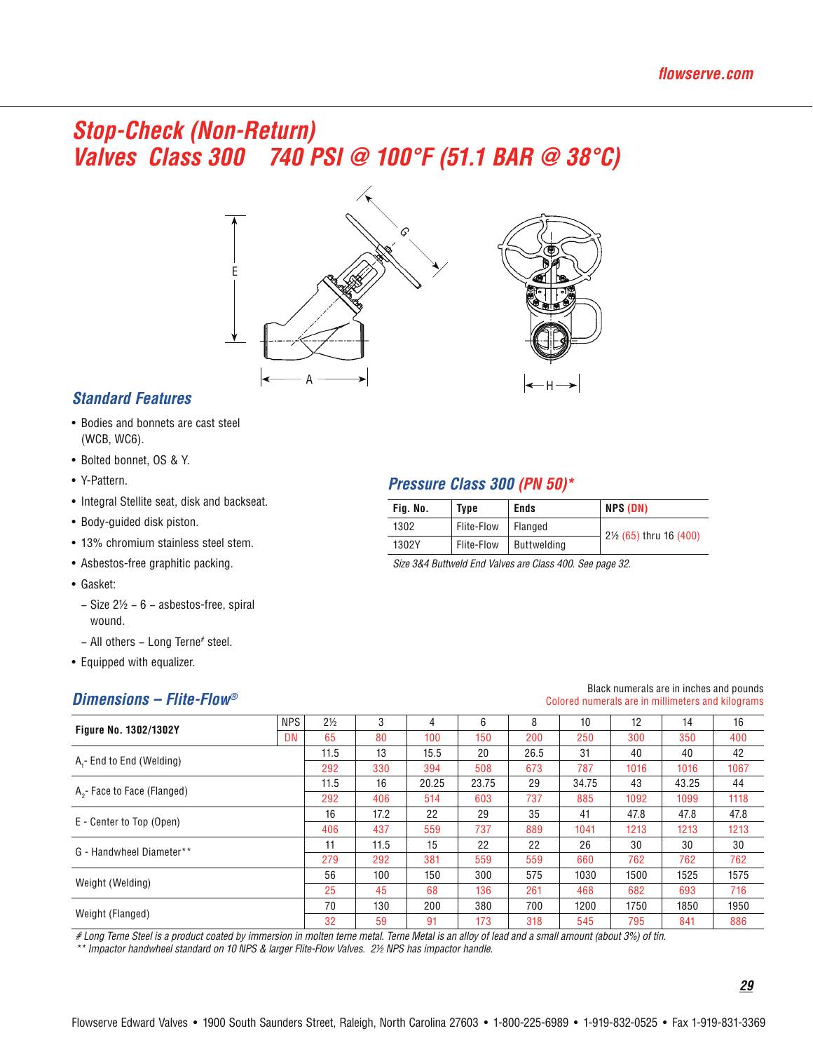# **Stop-Check (Non-Return)** Valves Class 300 740 PSI @ 100°F (51.1 BAR @ 38°C)



### **Standard Features**

- Bodies and bonnets are cast steel (WCB, WC6).
- Bolted bonnet, OS & Y.
- Y-Pattern.
- Integral Stellite seat, disk and backseat.
- Body-guided disk piston.
- 13% chromium stainless steel stem.
- Asbestos-free graphitic packing.
- Gasket:
	- $-$  Size 2½  $-$  6  $-$  asbestos-free, spiral wound.
	- All others Long Terne# steel.
- Equipped with equalizer.

### Dimensions - Flite-Flow®

### Pressure Class 300 (PN 50)\*

| Fig. No. | <b>Type</b> | <b>Ends</b> | NPS (DN)                                         |
|----------|-------------|-------------|--------------------------------------------------|
| 1302     | Flite-Flow  | Flanged     | 2 <sup>1</sup> / <sub>2</sub> (65) thru 16 (400) |
| 1302Y    | Flite-Flow  | Buttwelding |                                                  |

Size 3&4 Buttweld End Valves are Class 400. See page 32.

#### **NPS**  $2\frac{1}{2}$  $\overline{4}$  $\,6\,$ Figure No. 1302/1302Y  $DN$  $\overline{80}$  $\overline{300}$ 11.5 15.5 26.5 A<sub>1</sub>- End to End (Welding)  $11.5$ 20.25 23.75 34.75 43.25 A<sub>2</sub>- Face to Face (Flanged) 17.2 47.8 47.8 47.8 E - Center to Top (Open) 11.5 G - Handwheel Diameter\*\* Weight (Welding)  $\overline{70}$  $\overline{130}$  $\overline{200}$  $\overline{700}$ Weight (Flanged)

# Long Terne Steel is a product coated by immersion in molten terne metal. Terne Metal is an alloy of lead and a small amount (about 3%) of tin.

\*\* Impactor handwheel standard on 10 NPS & larger Flite-Flow Valves. 2½ NPS has impactor handle.

### Black numerals are in inches and pounds Colored numerals are in millimeters and kilograms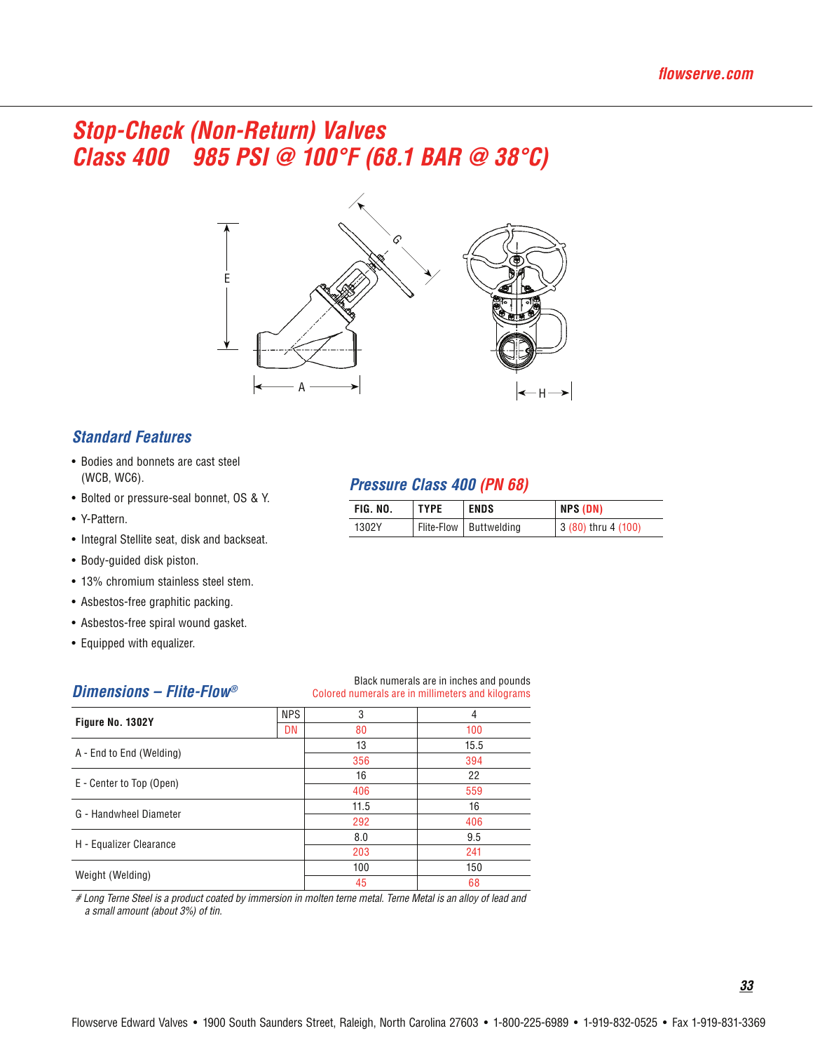# *Stop-Check (Non-Return) Valves Class 400 985 PSI @ 100°F (68.1 BAR @ 38°C)*



### *Standard Features*

- Bodies and bonnets are cast steel (WCB, WC6).
- Bolted or pressure-seal bonnet, OS & Y.
- Y-Pattern.
- Integral Stellite seat, disk and backseat.
- Body-guided disk piston.
- 13% chromium stainless steel stem.
- Asbestos-free graphitic packing.
- Asbestos-free spiral wound gasket.
- Equipped with equalizer.

### *Dimensions – Flite-Flow®*

### Black numerals are in inches and pounds

*Pressure Class 400 (PN 68)*

1302Y | Flite-Flow | Buttwelding

FIG. NO. TYPE ENDS NPS (DN)

3 (80) thru 4 (100)

| Dimensions - Flite-Flow® | Colored numerals are in millimeters and kilograms |      |      |  |  |  |
|--------------------------|---------------------------------------------------|------|------|--|--|--|
|                          | <b>NPS</b>                                        | 3    | 4    |  |  |  |
| Figure No. 1302Y         | DN                                                | 80   | 100  |  |  |  |
|                          |                                                   | 13   | 15.5 |  |  |  |
| A - End to End (Welding) | 356                                               | 394  |      |  |  |  |
| E - Center to Top (Open) |                                                   | 16   | 22   |  |  |  |
|                          |                                                   | 406  | 559  |  |  |  |
| G - Handwheel Diameter   |                                                   | 11.5 | 16   |  |  |  |
|                          |                                                   | 292  | 406  |  |  |  |
|                          |                                                   | 8.0  | 9.5  |  |  |  |
| H - Equalizer Clearance  |                                                   | 203  | 241  |  |  |  |
| Weight (Welding)         |                                                   | 100  | 150  |  |  |  |
|                          |                                                   | 45   | 68   |  |  |  |

*# Long Terne Steel is a product coated by immersion in molten terne metal. Terne Metal is an alloy of lead and a small amount (about 3%) of tin.*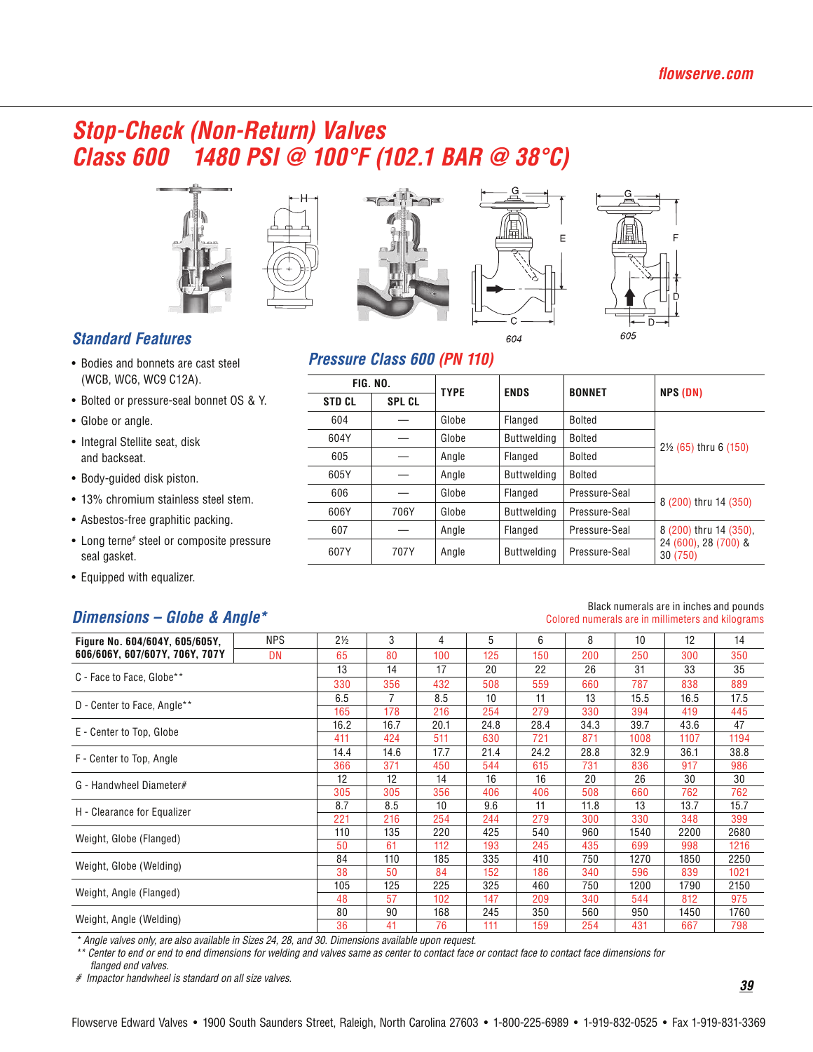# **Stop-Check (Non-Return) Valves** Class 600 1480 PSI @ 100°F (102.1 BAR @ 38°C)











### Pressure Class 600 (PN 110)

| <b>FIG. NO.</b> |               | <b>TYPE</b>   | <b>ENDS</b> | <b>BONNET</b>      |               |                                  |  |
|-----------------|---------------|---------------|-------------|--------------------|---------------|----------------------------------|--|
|                 | <b>STD CL</b> | <b>SPL CL</b> |             |                    |               | NPS (DN)                         |  |
|                 | 604           |               | Globe       | Flanged            | Bolted        |                                  |  |
|                 | 604Y          |               | Globe       | <b>Buttwelding</b> | Bolted        |                                  |  |
|                 | 605           |               | Angle       | Flanged            | Bolted        | $2\frac{1}{2}$ (65) thru 6 (150) |  |
|                 | 605Y          |               | Angle       | <b>Buttwelding</b> | Bolted        |                                  |  |
|                 | 606           |               | Globe       | Flanged            | Pressure-Seal |                                  |  |
|                 | 606Y          | 706Y          | Globe       | <b>Buttwelding</b> | Pressure-Seal | 8 (200) thru 14 (350)            |  |
|                 | 607           |               | Angle       | Flanged            | Pressure-Seal | 8 (200) thru 14 (350),           |  |
|                 | 607Y          | 707Y          | Angle       | <b>Buttwelding</b> | Pressure-Seal | 24 (600), 28 (700) &<br>30 (750) |  |
|                 |               |               |             |                    |               |                                  |  |

### **Standard Features**

- Bodies and bonnets are cast steel (WCB, WC6, WC9 C12A).
- Bolted or pressure-seal bonnet OS & Y.
- Globe or angle.
- Integral Stellite seat, disk and backseat.
- Body-guided disk piston.
- 13% chromium stainless steel stem.
- Asbestos-free graphitic packing.
- Long terne# steel or composite pressure seal gasket.
- Equipped with equalizer.

### Dimensions - Globe & Angle\*

#### Black numerals are in inches and pounds Colored numerals are in millimeters and kilograms

| Figure No. 604/604Y, 605/605Y, | <b>NPS</b> | $2\frac{1}{2}$ | 3    | 4    | 5    | 6    | 8    | 10   | 12   | 14   |
|--------------------------------|------------|----------------|------|------|------|------|------|------|------|------|
| 606/606Y, 607/607Y, 706Y, 707Y | <b>DN</b>  | 65             | 80   | 100  | 125  | 150  | 200  | 250  | 300  | 350  |
| C - Face to Face, Globe**      |            | 13             | 14   | 17   | 20   | 22   | 26   | 31   | 33   | 35   |
|                                |            | 330            | 356  | 432  | 508  | 559  | 660  | 787  | 838  | 889  |
|                                |            | 6.5            | 7    | 8.5  | 10   | 11   | 13   | 15.5 | 16.5 | 17.5 |
| D - Center to Face, Angle**    |            | 165            | 178  | 216  | 254  | 279  | 330  | 394  | 419  | 445  |
| E - Center to Top, Globe       |            | 16.2           | 16.7 | 20.1 | 24.8 | 28.4 | 34.3 | 39.7 | 43.6 | 47   |
|                                |            | 411            | 424  | 511  | 630  | 721  | 871  | 1008 | 1107 | 1194 |
| F - Center to Top, Angle       |            | 14.4           | 14.6 | 17.7 | 21.4 | 24.2 | 28.8 | 32.9 | 36.1 | 38.8 |
|                                |            | 366            | 371  | 450  | 544  | 615  | 731  | 836  | 917  | 986  |
| G - Handwheel Diameter#        |            | 12             | 12   | 14   | 16   | 16   | 20   | 26   | 30   | 30   |
|                                |            | 305            | 305  | 356  | 406  | 406  | 508  | 660  | 762  | 762  |
| H - Clearance for Equalizer    |            | 8.7            | 8.5  | 10   | 9.6  | 11   | 11.8 | 13   | 13.7 | 15.7 |
|                                |            | 221            | 216  | 254  | 244  | 279  | 300  | 330  | 348  | 399  |
| Weight, Globe (Flanged)        |            | 110            | 135  | 220  | 425  | 540  | 960  | 1540 | 2200 | 2680 |
|                                |            | 50             | 61   | 112  | 193  | 245  | 435  | 699  | 998  | 1216 |
| Weight, Globe (Welding)        |            | 84             | 110  | 185  | 335  | 410  | 750  | 1270 | 1850 | 2250 |
|                                |            | 38             | 50   | 84   | 152  | 186  | 340  | 596  | 839  | 1021 |
| Weight, Angle (Flanged)        |            | 105            | 125  | 225  | 325  | 460  | 750  | 1200 | 1790 | 2150 |
|                                |            | 48             | 57   | 102  | 147  | 209  | 340  | 544  | 812  | 975  |
| Weight, Angle (Welding)        |            | 80             | 90   | 168  | 245  | 350  | 560  | 950  | 1450 | 1760 |
|                                |            | 36             | 41   | 76   | 111  | 159  | 254  | 431  | 667  | 798  |

\* Angle valves only, are also available in Sizes 24, 28, and 30. Dimensions available upon request.

\* Center to end or end to end dimensions for welding and valves same as center to contact face or contact face to contact face dimensions for

flanged end valves.

# Impactor handwheel is standard on all size valves.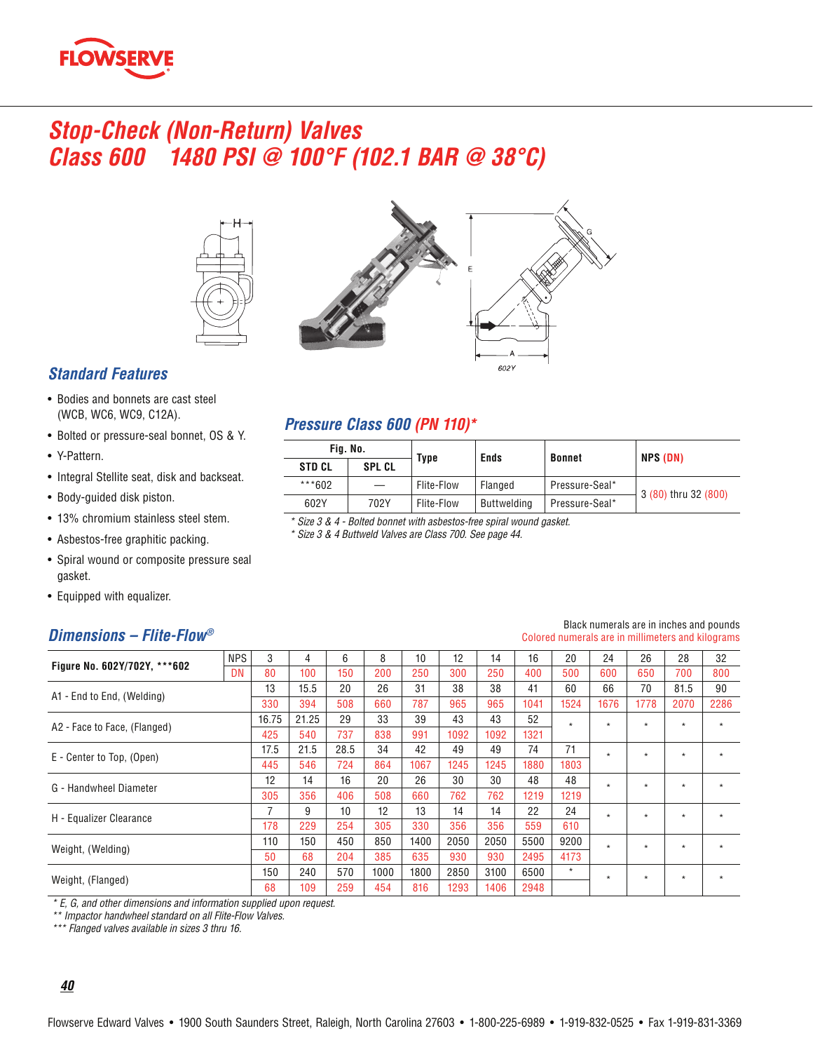

# **Stop-Check (Non-Return) Valves** Class 600 1480 PSI @ 100°F (102.1 BAR @ 38°C)





### **Standard Features**

- Bodies and bonnets are cast steel (WCB, WC6, WC9, C12A).
- Bolted or pressure-seal bonnet, OS & Y.
- Y-Pattern.
- Integral Stellite seat, disk and backseat.
- Body-guided disk piston.
- 13% chromium stainless steel stem.
- Asbestos-free graphitic packing.
- Spiral wound or composite pressure seal gasket.
- Equipped with equalizer.

### Dimensions - Flite-Flow®

# $\overline{\phantom{a}}$  Eig No.

| FIY. NV.      |               | Type       | <b>Ends</b> | <b>Bonnet</b>  | NPS (DN)             |  |  |  |
|---------------|---------------|------------|-------------|----------------|----------------------|--|--|--|
| <b>STD CL</b> | <b>SPL CL</b> |            |             |                |                      |  |  |  |
| ***602        |               | Flite-Flow | Flanged     | Pressure-Seal* | 3 (80) thru 32 (800) |  |  |  |
| 602Y          | 702Y          | Flite-Flow | Buttwelding | Pressure-Seal* |                      |  |  |  |

\* Size 3 & 4 - Bolted bonnet with asbestos-free spiral wound gasket.

\* Size 3 & 4 Buttweld Valves are Class 700. See page 44.

Pressure Class 600 (PN 110)\*

| Figure No. 602Y/702Y, ***602 | <b>NPS</b> | 3     | 4     | 6    | 8    | 10   | 12   | 14   | 16   | 20      | 24      | 26      | 28      | 32      |
|------------------------------|------------|-------|-------|------|------|------|------|------|------|---------|---------|---------|---------|---------|
|                              | DN         | 80    | 100   | 150  | 200  | 250  | 300  | 250  | 400  | 500     | 600     | 650     | 700     | 800     |
| A1 - End to End, (Welding)   |            | 13    | 15.5  | 20   | 26   | 31   | 38   | 38   | 41   | 60      | 66      | 70      | 81.5    | 90      |
|                              |            | 330   | 394   | 508  | 660  | 787  | 965  | 965  | 1041 | 1524    | 1676    | 1778    | 2070    | 2286    |
| A2 - Face to Face, (Flanged) |            | 16.75 | 21.25 | 29   | 33   | 39   | 43   | 43   | 52   | $\star$ | $\star$ | $\star$ | $\star$ | $\star$ |
|                              |            | 425   | 540   | 737  | 838  | 991  | 1092 | 1092 | 1321 |         |         |         |         |         |
|                              |            | 17.5  | 21.5  | 28.5 | 34   | 42   | 49   | 49   | 74   | 71      | $\star$ | $\star$ | $\star$ | $\star$ |
| E - Center to Top, (Open)    |            | 445   | 546   | 724  | 864  | 1067 | 1245 | 1245 | 1880 | 1803    |         |         |         |         |
| G - Handwheel Diameter       |            | 12    | 14    | 16   | 20   | 26   | 30   | 30   | 48   | 48      | $\star$ | $\star$ | $\star$ | $\star$ |
|                              |            | 305   | 356   | 406  | 508  | 660  | 762  | 762  | 1219 | 1219    |         |         |         |         |
|                              |            |       | 9     | 10   | 12   | 13   | 14   | 14   | 22   | 24      | $\star$ | $\star$ | $\star$ | $\star$ |
| H - Equalizer Clearance      |            | 178   | 229   | 254  | 305  | 330  | 356  | 356  | 559  | 610     |         |         |         |         |
| Weight, (Welding)            |            | 110   | 150   | 450  | 850  | 1400 | 2050 | 2050 | 5500 | 9200    | $\star$ | $\star$ | $\star$ | $\star$ |
|                              |            | 50    | 68    | 204  | 385  | 635  | 930  | 930  | 2495 | 4173    |         |         |         |         |
|                              |            | 150   | 240   | 570  | 1000 | 1800 | 2850 | 3100 | 6500 | $\star$ | $\star$ | $\star$ | $\star$ | $\star$ |
| Weight, (Flanged)            |            | 68    | 109   | 259  | 454  | 816  | 1293 | 1406 | 2948 |         |         |         |         |         |

\* E, G, and other dimensions and information supplied upon request.<br>\*\* Impactor handwheel standard on all Flite-Flow Valves.

\*\*\* Flanged valves available in sizes 3 thru 16.

### $40$

#### Black numerals are in inches and pounds Colored numerals are in millimeters and kilograms